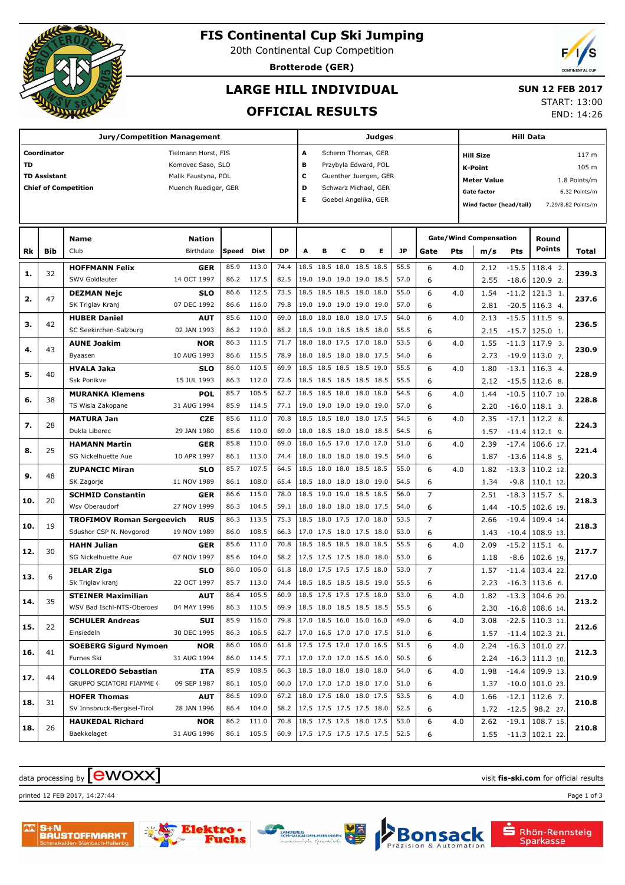

# **FIS Continental Cup Ski Jumping**

20th Continental Cup Competition

**Brotterode (GER)**

# **LARGE HILL INDIVIDUAL**

### **SUN 12 FEB 2017**

## **OFFICIAL RESULTS**

START: 13:00

END: 14:26

|           |                     | <b>Jury/Competition Management</b> |                      |       |            |           |                           |                         |                |                          | <b>Judges</b>         |              |                |     |                                    | <b>Hill Data</b> |                    |       |  |
|-----------|---------------------|------------------------------------|----------------------|-------|------------|-----------|---------------------------|-------------------------|----------------|--------------------------|-----------------------|--------------|----------------|-----|------------------------------------|------------------|--------------------|-------|--|
|           | Coordinator         |                                    | Tielmann Horst, FIS  |       |            |           | А                         |                         |                | Scherm Thomas, GER       |                       |              |                |     | <b>Hill Size</b>                   |                  |                    | 117 m |  |
| <b>TD</b> |                     |                                    | Komovec Saso, SLO    |       |            |           | в                         |                         |                | Przybyla Edward, POL     |                       |              |                |     | <b>K-Point</b>                     |                  |                    | 105 m |  |
|           | <b>TD Assistant</b> |                                    | Malik Faustyna, POL  |       |            |           | с                         |                         |                |                          | Guenther Juergen, GER |              |                |     | <b>Meter Value</b><br>1.8 Points/m |                  |                    |       |  |
|           |                     | <b>Chief of Competition</b>        | Muench Ruediger, GER |       |            |           | D<br>Schwarz Michael, GER |                         |                |                          |                       |              |                |     | Gate factor<br>6.32 Points/m       |                  |                    |       |  |
|           |                     |                                    |                      |       |            |           | Е                         |                         |                | Goebel Angelika, GER     |                       |              |                |     |                                    |                  |                    |       |  |
|           |                     |                                    |                      |       |            |           |                           | Wind factor (head/tail) |                |                          |                       |              |                |     |                                    |                  | 7.29/8.82 Points/m |       |  |
|           |                     |                                    |                      |       |            |           |                           |                         |                |                          |                       |              |                |     |                                    |                  |                    |       |  |
|           |                     | Name                               | <b>Nation</b>        |       |            |           |                           |                         |                |                          |                       |              |                |     | <b>Gate/Wind Compensation</b>      |                  | Round              |       |  |
| Rk        | Bib                 | Club                               | Birthdate            | Speed | Dist       | <b>DP</b> | A                         | в                       | с              | D                        | Е                     | JP           | Gate           | Pts | m/s                                | Pts              | <b>Points</b>      | Total |  |
|           |                     | <b>HOFFMANN Felix</b>              | <b>GER</b>           | 85.9  | 113.0      | 74.4      |                           |                         |                | 18.5 18.5 18.0 18.5 18.5 |                       | 55.5         | 6              | 4.0 | 2.12                               | $-15.5$          | 118.4 2.           |       |  |
| 1.        | 32                  | SWV Goldlauter                     | 14 OCT 1997          | 86.2  | 117.5      | 82.5      |                           |                         |                | 19.0 19.0 19.0 19.0 18.5 |                       | 57.0         | 6              |     | 2.55                               | $-18.6$          | 120.9 2.           | 239.3 |  |
| 2.        | 47                  | <b>DEZMAN Nejc</b>                 | SLO                  | 86.6  | 112.5      | 73.5      |                           |                         |                | 18.5 18.5 18.5 18.0 18.0 |                       | 55.0         | 6              | 4.0 | 1.54                               | $-11.2$          | 121.3 1.           | 237.6 |  |
|           |                     | SK Triglav Kranj                   | 07 DEC 1992          | 86.6  | 116.0      | 79.8      |                           |                         |                | 19.0 19.0 19.0 19.0 19.0 |                       | 57.0         | 6              |     | 2.81                               | $-20.5$          | $116.34$ .         |       |  |
| з.        | 42                  | <b>HUBER Daniel</b>                | <b>AUT</b>           | 85.6  | 110.0      | 69.0      | 18.0                      |                         |                | 18.0 18.0 18.0 17.5      |                       | 54.0         | 6              | 4.0 | 2.13                               | $-15.5$          | 111.5 9.           | 236.5 |  |
|           |                     | SC Seekirchen-Salzburg             | 02 JAN 1993          | 86.2  | 119.0      | 85.2      |                           |                         |                | 18.5 19.0 18.5 18.5 18.0 |                       | 55.5         | 6              |     | 2.15                               | $-15.7$          | 125.0 1.           |       |  |
| 4.        | 43                  | <b>AUNE Joakim</b>                 | <b>NOR</b>           | 86.3  | 111.5      | 71.7      | 18.0                      |                         |                | 18.0 17.5 17.0 18.0      |                       | 53.5         | 6              | 4.0 | 1.55                               | $-11.3$          | 117.9 3.           | 230.9 |  |
|           |                     | Byaasen                            | 10 AUG 1993          | 86.6  | 115.5      | 78.9      |                           |                         |                | 18.0 18.5 18.0 18.0 17.5 |                       | 54.0         | 6              |     | 2.73                               | $-19.9$          | 113.07.            |       |  |
| 5.        | 40                  | <b>HVALA Jaka</b>                  | SLO                  | 86.0  | 110.5      | 69.9      |                           |                         |                | 18.5 18.5 18.5 18.5 19.0 |                       | 55.5         | 6              | 4.0 | 1.80                               | $-13.1$          | 116.3 4.           | 228.9 |  |
|           |                     | <b>Ssk Ponikve</b>                 | 15 JUL 1993          | 86.3  | 112.0      | 72.6      |                           |                         |                | 18.5 18.5 18.5 18.5 18.5 |                       | 55.5         | 6              |     | 2.12                               | $-15.5$          | 112.6 8.           |       |  |
| 6.        | 38                  | <b>MURANKA Klemens</b>             | <b>POL</b>           | 85.7  | 106.5      | 62.7      |                           |                         |                | 18.5 18.5 18.0 18.0 18.0 |                       | 54.5         | 6              | 4.0 | 1.44                               | $-10.5$          | 110.7 10.          | 228.8 |  |
|           |                     | TS Wisla Zakopane                  | 31 AUG 1994          | 85.9  | 114.5      | 77.1      |                           |                         |                | 19.0 19.0 19.0 19.0 19.0 |                       | 57.0         | 6              |     | 2.20                               | $-16.0$          | 118.1 3.           |       |  |
| 7.        | 28                  | <b>MATURA Jan</b>                  | <b>CZE</b>           | 85.6  | 111.0      | 70.8      |                           |                         |                | 18.5 18.5 18.0 18.0 17.5 |                       | 54.5         | 6              | 4.0 | 2.35                               | $-17.1$          | 112.2 8.           | 224.3 |  |
|           |                     | Dukla Liberec                      | 29 JAN 1980          | 85.6  | 110.0      | 69.0      |                           |                         |                | 18.0 18.5 18.0 18.0 18.5 |                       | 54.5         | 6              |     | 1.57                               | $-11.4$          | 112.1 9.           |       |  |
| 8.        | 25                  | <b>HAMANN Martin</b>               | <b>GER</b>           | 85.8  | 110.0      | 69.0      | 18.0                      |                         | 16.5 17.0      | 17.0 17.0                |                       | 51.0         | 6              | 4.0 | 2.39                               | $-17.4$          | 106.6 17.          | 221.4 |  |
|           |                     | SG Nickelhuette Aue                | 10 APR 1997          | 86.1  | 113.0      | 74.4      |                           |                         |                | 18.0 18.0 18.0 18.0 19.5 |                       | 54.0         | 6              |     | 1.87                               | $-13.6$          | 114.8 5.           |       |  |
| 9.        | 48                  | <b>ZUPANCIC Miran</b>              | SLO                  | 85.7  | 107.5      | 64.5      |                           |                         | 18.5 18.0 18.0 | 18.5 18.5                |                       | 55.0         | 6              | 4.0 | 1.82                               | $-13.3$          | 110.2 12.          | 220.3 |  |
|           |                     | SK Zagorje                         | 11 NOV 1989          | 86.1  | 108.0      | 65.4      |                           |                         |                | 18.5 18.0 18.0 18.0 19.0 |                       | 54.5         | 6              |     | 1.34                               | $-9.8$           | 110.1 12.          |       |  |
| 10.       | 20                  | <b>SCHMID Constantin</b>           | <b>GER</b>           | 86.6  | 115.0      | 78.0      |                           |                         |                | 18.5 19.0 19.0 18.5 18.5 |                       | 56.0         | $\overline{7}$ |     | 2.51                               | $-18.3$          | 115.7 5.           | 218.3 |  |
|           |                     | Wsv Oberaudorf                     | 27 NOV 1999          | 86.3  | 104.5      | 59.1      |                           |                         |                | 18.0 18.0 18.0 18.0 17.5 |                       | 54.0         | 6              |     | 1.44                               | $-10.5$          | 102.6 19.          |       |  |
| 10.       | 19                  | <b>TROFIMOV Roman Sergeevich</b>   | <b>RUS</b>           | 86.3  | 113.5      | 75.3      |                           |                         |                | 18.5 18.0 17.5 17.0 18.0 |                       | 53.5         | $\overline{7}$ |     | 2.66                               | $-19.4$          | 109.4 14.          | 218.3 |  |
|           |                     | Sdushor CSP N. Novgorod            | 19 NOV 1989          | 86.0  | 108.5      | 66.3      |                           |                         |                | 17.0 17.5 18.0 17.5 18.0 |                       | 53.0         | 6              |     | 1.43                               | $-10.4$          | 108.9 13.          |       |  |
| 12.       | 30                  | <b>HAHN Julian</b>                 | <b>GER</b>           | 85.6  | 111.0      | 70.8      |                           |                         |                | 18.5 18.5 18.5 18.0 18.5 |                       | 55.5         | 6              | 4.0 | 2.09                               | $-15.2$          | $115.16$ .         | 217.7 |  |
|           |                     | SG Nickelhuette Aue                | 07 NOV 1997          | 85.6  | 104.0      | 58.2      |                           |                         |                | 17.5 17.5 17.5 18.0 18.0 |                       | 53.0         | 6              |     | 1.18                               | $-8.6$           | 102.6 19.          |       |  |
| 13.       | 6                   | <b>JELAR Ziga</b>                  | SLO                  | 86.0  | 106.0      | 61.8      |                           |                         |                | 18.0 17.5 17.5 17.5 18.0 |                       | 53.0         | $\overline{7}$ |     | 1.57                               | $-11.4$          | 103.4 22.          | 217.0 |  |
|           |                     | Sk Triglav kranj                   | 22 OCT 1997          | 85.7  | 113.0      | 74.4      |                           |                         |                | 18.5 18.5 18.5 18.5 19.0 |                       | 55.5         | 6              |     | 2.23                               | $-16.3$          | $113.6$ 6.         |       |  |
| 14.       | 35                  | <b>STEINER Maximilian</b>          | <b>AUT</b>           | 86.4  | 105.5      | 60.9      |                           |                         |                | 18.5 17.5 17.5 17.5 18.0 |                       | 53.0         | 6              | 4.0 | 1.82                               | $-13.3$          | 104.6 20.          | 213.2 |  |
|           |                     | WSV Bad Ischl-NTS-Oberoes          | 04 MAY 1996          |       | 86.3 110.5 | 69.9      | 18.5 18.0 18.5 18.5 18.5  |                         |                |                          |                       | 55.5         | 6              |     | 2.30                               |                  | $-16.8$ 108.6 14.  |       |  |
| 15.       | 22                  | <b>SCHULER Andreas</b>             | SUI                  | 85.9  | 116.0      | 79.8      | 17.0 18.5 16.0 16.0 16.0  |                         |                |                          |                       | 49.0         | 6              | 4.0 | 3.08                               |                  | $-22.5$ 110.3 11.  | 212.6 |  |
|           |                     | Einsiedeln                         | 30 DEC 1995          |       | 86.3 106.5 | 62.7      |                           |                         |                | 17.0 16.5 17.0 17.0 17.5 |                       | 51.0         | 6              |     | 1.57                               |                  | $-11.4$ 102.3 21.  |       |  |
| 16.       | 41                  | <b>SOEBERG Sigurd Nymoen</b>       | <b>NOR</b>           | 86.0  | 106.0      | 61.8      |                           |                         |                | 17.5 17.5 17.0 17.0 16.5 |                       | 51.5         | 6              | 4.0 | 2.24                               |                  | $-16.3$ 101.0 27.  | 212.3 |  |
|           |                     | Furnes Ski                         | 31 AUG 1994          |       | 86.0 114.5 | 77.1      | 17.0 17.0 17.0 16.5 16.0  |                         |                |                          |                       | 50.5         | 6              |     | 2.24                               |                  | $-16.3$ 111.3 10.  |       |  |
| 17.       | 44                  | <b>COLLOREDO Sebastian</b>         | ITA                  | 85.9  | 108.5      | 66.3      |                           |                         |                | 18.5 18.0 18.0 18.0 18.0 |                       | 54.0         | 6              | 4.0 | 1.98                               |                  | $-14.4$ 109.9 13.  | 210.9 |  |
|           |                     | GRUPPO SCIATORI FIAMME (           | 09 SEP 1987          | 86.1  | 105.0      | 60.0      | 17.0 17.0 17.0 18.0 17.0  |                         |                | 18.0 17.5 18.0 18.0 17.5 |                       | 51.0         | 6              |     | 1.37                               |                  | $-10.0$ 101.0 23.  |       |  |
| 18.       | 31                  | <b>HOFER Thomas</b>                | <b>AUT</b>           | 86.5  | 109.0      | 67.2      |                           |                         |                |                          |                       | 53.5<br>52.5 | 6              | 4.0 | 1.66                               |                  | $-12.1$ 112.6 7.   | 210.8 |  |
|           |                     | SV Innsbruck-Bergisel-Tirol        | 28 JAN 1996          | 86.4  | 104.0      | 58.2      | 17.5 17.5 17.5 17.5 18.0  |                         |                |                          |                       |              | 6              |     | 1.72                               |                  | $-12.5$ 98.2 27.   |       |  |
| 18.       | 26                  | <b>HAUKEDAL Richard</b>            | <b>NOR</b>           | 86.2  | 111.0      | 70.8      |                           |                         |                | 18.5 17.5 17.5 18.0 17.5 |                       | 53.0         | 6              | 4.0 | 2.62                               |                  | $-19.1$ 108.7 15.  | 210.8 |  |
|           |                     | Baekkelaget                        | 31 AUG 1996          |       | 86.1 105.5 | 60.9      | 17.5 17.5 17.5 17.5 17.5  |                         |                |                          |                       | 52.5         | 6              |     | 1.55                               |                  | $-11.3$ 102.1 22.  |       |  |

## $\alpha$  data processing by  $\boxed{\text{ewOX}}$

printed 12 FEB 2017, 14:27:44 Page 1 of 3





uehs

**Bonsack** 

Automation



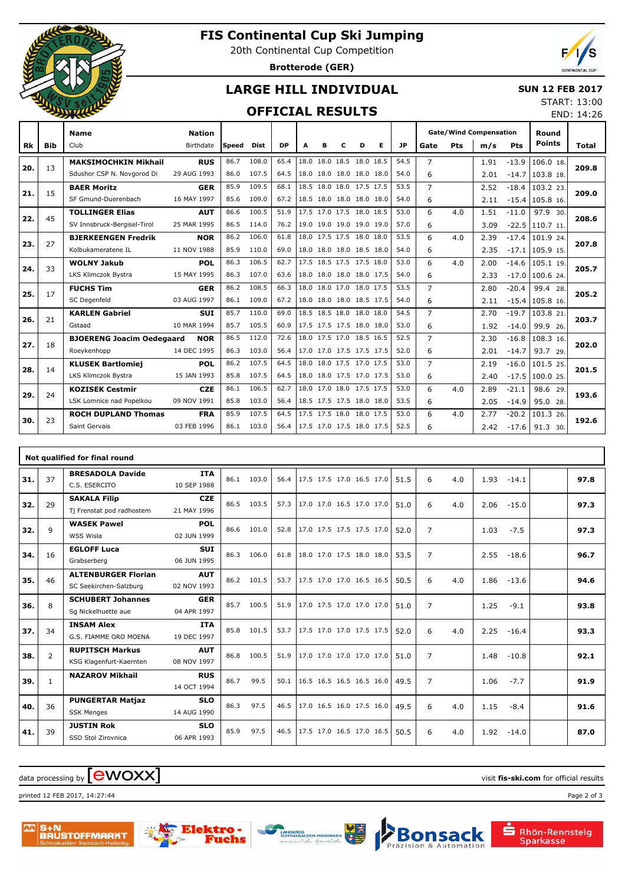

# **FIS Continental Cup Ski Jumping**

20th Continental Cup Competition

**Brotterode (GER)**



## **LARGE HILL INDIVIDUAL**

#### **SUN 12 FEB 2017**

### **OFFICIAL RESULTS**

| START: 13:00 |            |
|--------------|------------|
|              | END: 14:26 |

|           |            | <b>Name</b>                      | <b>Nation</b> |        |       |           |                          |   |   |                          |   |           | <b>Gate/Wind Compensation</b> |     |      |            | Round             |       |
|-----------|------------|----------------------------------|---------------|--------|-------|-----------|--------------------------|---|---|--------------------------|---|-----------|-------------------------------|-----|------|------------|-------------------|-------|
| <b>Rk</b> | <b>Bib</b> | Club                             | Birthdate     | lSpeed | Dist  | <b>DP</b> | A                        | в | C | D                        | Е | <b>JP</b> | Gate                          | Pts | m/s  | <b>Pts</b> | <b>Points</b>     | Total |
| 20.       | 13         | <b>MAKSIMOCHKIN Mikhail</b>      | <b>RUS</b>    | 86.7   | 108.0 | 65.4      |                          |   |   | 18.0 18.0 18.5 18.0 18.5 |   | 54.5      | $\overline{7}$                |     | 1.91 | $-13.9$    | 106.0 18.         | 209.8 |
|           |            | Sdushor CSP N. Novgorod Di       | 29 AUG 1993   | 86.0   | 107.5 | 64.5      | 18.0                     |   |   | 18.0 18.0 18.0 18.0      |   | 54.0      | 6                             |     | 2.01 | $-14.7$    | 103.8 18.         |       |
| 21.       | 15         | <b>BAER Moritz</b>               | <b>GER</b>    | 85.9   | 109.5 | 68.1      |                          |   |   | 18.5 18.0 18.0 17.5 17.5 |   | 53.5      | $\overline{7}$                |     | 2.52 | $-18.4$    | 103.2 23.         | 209.0 |
|           |            | SF Gmund-Duerenbach              | 16 MAY 1997   | 85.6   | 109.0 | 67.2      |                          |   |   | 18.5 18.0 18.0 18.0 18.0 |   | 54.0      | 6                             |     | 2.11 |            | $-15.4$ 105.8 16. |       |
| 22.       | 45         | <b>TOLLINGER Elias</b>           | <b>AUT</b>    | 86.6   | 100.5 | 51.9      |                          |   |   | 17.5 17.0 17.5 18.0 18.5 |   | 53.0      | 6                             | 4.0 | 1.51 | $-11.0$    | 97.9 30.          | 208.6 |
|           |            | SV Innsbruck-Bergisel-Tirol      | 25 MAR 1995   | 86.5   | 114.0 | 76.2      |                          |   |   | 19.0 19.0 19.0 19.0 19.0 |   | 57.0      | 6                             |     | 3.09 | $-22.5$    | 110.7 11          |       |
| 23.       | 27         | <b>BJERKEENGEN Fredrik</b>       | <b>NOR</b>    | 86.2   | 106.0 | 61.8      |                          |   |   | 18.0 17.5 17.5 18.0 18.0 |   | 53.5      | 6                             | 4.0 | 2.39 | $-17.4$    | 101.9 24.         | 207.8 |
|           |            | Kolbukameratene IL               | 11 NOV 1988   | 85.9   | 110.0 | 69.0      |                          |   |   | 18.0 18.0 18.0 18.5 18.0 |   | 54.0      | 6                             |     | 2.35 | $-17.1$    | $105.9$ 15.       |       |
| 24.       | 33         | <b>WOLNY Jakub</b>               | <b>POL</b>    | 86.3   | 106.5 | 62.7      |                          |   |   | 17.5 18.5 17.5 17.5 18.0 |   | 53.0      | 6                             | 4.0 | 2.00 | $-14.6$    | 105.1 19.         | 205.7 |
|           |            | LKS Klimczok Bystra              | 15 MAY 1995   | 86.3   | 107.0 | 63.6      | 18.0 18.0 18.0 18.0 17.5 |   |   |                          |   | 54.0      | 6                             |     | 2.33 | $-17.0$    | 100.6 24.         |       |
| 25.       | 17         | <b>FUCHS Tim</b>                 | <b>GER</b>    | 86.2   | 108.5 | 66.3      |                          |   |   | 18.0 18.0 17.0 18.0 17.5 |   | 53.5      | $\overline{7}$                |     | 2.80 | $-20.4$    | 99.4 28.          | 205.2 |
|           |            | SC Degenfeld                     | 03 AUG 1997   | 86.1   | 109.0 | 67.2      |                          |   |   | 18.0 18.0 18.0 18.5 17.5 |   | 54.0      | 6                             |     | 2.11 |            | $-15.4$ 105.8 16. |       |
| 26.       | 21         | <b>KARLEN Gabriel</b>            | <b>SUI</b>    | 85.7   | 110.0 | 69.0      |                          |   |   | 18.5 18.5 18.0 18.0 18.0 |   | 54.5      | $\overline{7}$                |     | 2.70 | $-19.7$    | 103.8 21          | 203.7 |
|           |            | Gstaad                           | 10 MAR 1994   | 85.7   | 105.5 | 60.9      | 17.5 17.5 17.5 18.0 18.0 |   |   |                          |   | 53.0      | 6                             |     | 1.92 | $-14.0$    | 99.9 26.          |       |
| 27.       | 18         | <b>BJOERENG Joacim Oedegaard</b> | <b>NOR</b>    | 86.5   | 112.0 | 72.6      |                          |   |   | 18.0 17.5 17.0 18.5 16.5 |   | 52.5      | $\overline{7}$                |     | 2.30 | $-16.8$    | 108.3 16.         | 202.0 |
|           |            | Roeykenhopp                      | 14 DEC 1995   | 86.3   | 103.0 | 56.4      | 17.0 17.0 17.5 17.5 17.5 |   |   |                          |   | 52.0      | 6                             |     | 2.01 | $-14.7$    | 93.7 29.          |       |
| 28.       | 14         | <b>KLUSEK Bartlomiej</b>         | <b>POL</b>    | 86.2   | 107.5 | 64.5      |                          |   |   | 18.0 18.0 17.5 17.0 17.5 |   | 53.0      | $\overline{7}$                |     | 2.19 | $-16.0$    | 101.5 25.         | 201.5 |
|           |            | LKS Klimczok Bystra              | 15 JAN 1993   | 85.8   | 107.5 | 64.5      |                          |   |   | 18.0 18.0 17.5 17.0 17.5 |   | 53.0      | 6                             |     | 2.40 | $-17.5$    | 100.0 25.         |       |
| 29.       | 24         | <b>KOZISEK Cestmir</b>           | <b>CZE</b>    | 86.1   | 106.5 | 62.7      |                          |   |   | 18.0 17.0 18.0 17.5 17.5 |   | 53.0      | 6                             | 4.0 | 2.89 | $-21.1$    | 98.6 29.          | 193.6 |
|           |            | LSK Lomnice nad Popelkou         | 09 NOV 1991   | 85.8   | 103.0 | 56.4      |                          |   |   | 18.5 17.5 17.5 18.0 18.0 |   | 53.5      | 6                             |     | 2.05 | $-14.9$    | 95.0 28.          |       |
| 30.       | 23         | <b>ROCH DUPLAND Thomas</b>       | <b>FRA</b>    | 85.9   | 107.5 | 64.5      |                          |   |   | 17.5 17.5 18.0 18.0 17.5 |   | 53.0      | 6                             | 4.0 | 2.77 | $-20.2$    | 101.3 26.         | 192.6 |
|           |            | Saint Gervais                    | 03 FEB 1996   | 86.1   | 103.0 | 56.4      | 17.5 17.0 17.5 18.0 17.5 |   |   |                          |   | 52.5      | 6                             |     | 2.42 | $-17.6$    | 91.3 30.          |       |

|     |                | Not qualified for final round |             |      |       |      |                          |  |  |      |                |     |      |         |      |
|-----|----------------|-------------------------------|-------------|------|-------|------|--------------------------|--|--|------|----------------|-----|------|---------|------|
| 31. | 37             | <b>BRESADOLA Davide</b>       | <b>ITA</b>  | 86.1 | 103.0 | 56.4 | 17.5 17.5 17.0 16.5 17.0 |  |  | 51.5 | 6              | 4.0 | 1.93 | $-14.1$ | 97.8 |
|     |                | C.S. ESERCITO                 | 10 SEP 1988 |      |       |      |                          |  |  |      |                |     |      |         |      |
| 32. | 29             | <b>SAKALA Filip</b>           | <b>CZE</b>  | 86.5 | 103.5 | 57.3 | 17.0 17.0 16.5 17.0 17.0 |  |  | 51.0 | 6              | 4.0 | 2.06 | $-15.0$ | 97.3 |
|     |                | Tj Frenstat pod radhostem     | 21 MAY 1996 |      |       |      |                          |  |  |      |                |     |      |         |      |
| 32. | 9              | <b>WASEK Pawel</b>            | <b>POL</b>  | 86.6 | 101.0 | 52.8 | 17.0 17.5 17.5 17.5 17.0 |  |  | 52.0 | $\overline{7}$ |     | 1.03 | $-7.5$  | 97.3 |
|     |                | WSS Wisla                     | 02 JUN 1999 |      |       |      |                          |  |  |      |                |     |      |         |      |
| 34. | 16             | <b>EGLOFF Luca</b>            | <b>SUI</b>  | 86.3 | 106.0 | 61.8 | 18.0 17.0 17.5 18.0 18.0 |  |  | 53.5 | $\overline{7}$ |     | 2.55 | $-18.6$ | 96.7 |
|     |                | Grabserberg                   | 06 JUN 1995 |      |       |      |                          |  |  |      |                |     |      |         |      |
| 35. | 46             | <b>ALTENBURGER Florian</b>    | <b>AUT</b>  | 86.2 | 101.5 | 53.7 | 17.5 17.0 17.0 16.5 16.5 |  |  | 50.5 | 6              | 4.0 | 1.86 | $-13.6$ | 94.6 |
|     |                | SC Seekirchen-Salzburg        | 02 NOV 1993 |      |       |      |                          |  |  |      |                |     |      |         |      |
| 36. | 8              | <b>SCHUBERT Johannes</b>      | <b>GER</b>  | 85.7 | 100.5 | 51.9 | 17.0 17.5 17.0 17.0 17.0 |  |  | 51.0 | $\overline{7}$ |     | 1.25 | $-9.1$  | 93.8 |
|     |                | Sq Nickelhuette aue           | 04 APR 1997 |      |       |      |                          |  |  |      |                |     |      |         |      |
| 37. | 34             | <b>INSAM Alex</b>             | <b>ITA</b>  | 85.8 | 101.5 | 53.7 | 17.5 17.0 17.0 17.5 17.5 |  |  | 52.0 | 6              | 4.0 | 2.25 | $-16.4$ | 93.3 |
|     |                | G.S. FIAMME ORO MOENA         | 19 DEC 1997 |      |       |      |                          |  |  |      |                |     |      |         |      |
| 38. | $\overline{2}$ | <b>RUPITSCH Markus</b>        | <b>AUT</b>  | 86.8 | 100.5 | 51.9 | 17.0 17.0 17.0 17.0 17.0 |  |  | 51.0 | $\overline{7}$ |     | 1.48 | $-10.8$ | 92.1 |
|     |                | KSG Klagenfurt-Kaernten       | 08 NOV 1997 |      |       |      |                          |  |  |      |                |     |      |         |      |
| 39. | $\mathbf{1}$   | <b>NAZAROV Mikhail</b>        | <b>RUS</b>  | 86.7 | 99.5  | 50.1 | 16.5 16.5 16.5 16.5 16.0 |  |  | 49.5 | $\overline{7}$ |     | 1.06 | $-7.7$  | 91.9 |
|     |                |                               | 14 OCT 1994 |      |       |      |                          |  |  |      |                |     |      |         |      |
| 40. | 36             | <b>PUNGERTAR Matjaz</b>       | <b>SLO</b>  | 86.3 | 97.5  | 46.5 | 17.0 16.5 16.0 17.5 16.0 |  |  | 49.5 | 6              | 4.0 | 1.15 | $-8.4$  | 91.6 |
|     |                | <b>SSK Menges</b>             | 14 AUG 1990 |      |       |      |                          |  |  |      |                |     |      |         |      |
| 41. | 39             | <b>JUSTIN Rok</b>             | <b>SLO</b>  | 85.9 | 97.5  | 46.5 | 17.5 17.0 16.5 17.0 16.5 |  |  | 50.5 | 6              | 4.0 | 1.92 | $-14.0$ | 87.0 |
|     |                | SSD Stol Zirovnica            | 06 APR 1993 |      |       |      |                          |  |  |      |                |     |      |         |      |

# $\frac{1}{2}$  data processing by  $\boxed{\text{ewOX}}$

printed 12 FEB 2017, 14:27:44 Page 2 of 3